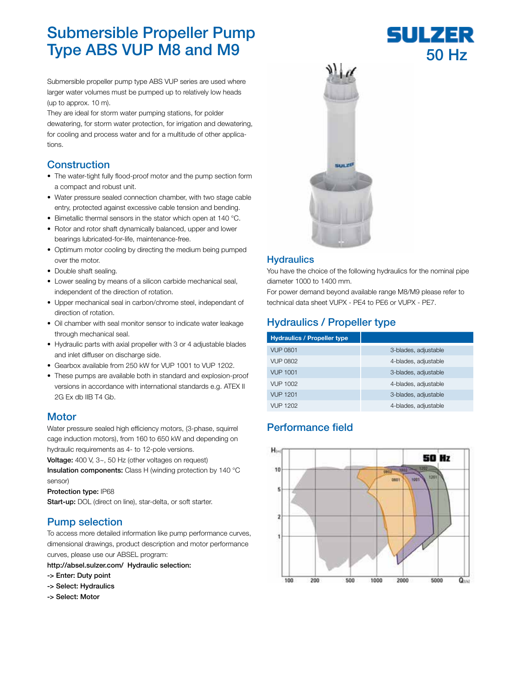# Submersible Propeller Pump Type ABS VUP M8 and M9

Submersible propeller pump type ABS VUP series are used where larger water volumes must be pumped up to relatively low heads (up to approx. 10 m).

They are ideal for storm water pumping stations, for polder dewatering, for storm water protection, for irrigation and dewatering, for cooling and process water and for a multitude of other applications.

#### **Construction**

- The water-tight fully flood-proof motor and the pump section form a compact and robust unit.
- Water pressure sealed connection chamber, with two stage cable entry, protected against excessive cable tension and bending.
- Bimetallic thermal sensors in the stator which open at 140 °C.
- Rotor and rotor shaft dynamically balanced, upper and lower bearings lubricated-for-life, maintenance-free.
- Optimum motor cooling by directing the medium being pumped over the motor.
- Double shaft sealing.
- Lower sealing by means of a silicon carbide mechanical seal, independent of the direction of rotation.
- Upper mechanical seal in carbon/chrome steel, independant of direction of rotation.
- Oil chamber with seal monitor sensor to indicate water leakage through mechanical seal.
- Hydraulic parts with axial propeller with 3 or 4 adjustable blades and inlet diffuser on discharge side.
- Gearbox available from 250 kW for VUP 1001 to VUP 1202.
- These pumps are available both in standard and explosion-proof versions in accordance with international standards e.g. ATEX II 2G Ex db IIB T4 Gb.

#### **Motor**

Water pressure sealed high efficiency motors, (3-phase, squirrel cage induction motors), from 160 to 650 kW and depending on hydraulic requirements as 4- to 12-pole versions.

Voltage: 400 V, 3~, 50 Hz (other voltages on request)

Insulation components: Class H (winding protection by 140 °C) sensor)

Protection type: IP68

Start-up: DOL (direct on line), star-delta, or soft starter.

#### Pump selection

To access more detailed information like pump performance curves, dimensional drawings, product description and motor performance curves, please use our ABSEL program:

http://absel.sulzer.com/ Hydraulic selection:

- -> Enter: Duty point
- -> Select: Hydraulics
- -> Select: Motor



#### **Hydraulics**

You have the choice of the following hydraulics for the nominal pipe diameter 1000 to 1400 mm.

For power demand beyond available range M8/M9 please refer to technical data sheet VUPX - PE4 to PE6 or VUPX - PE7.

## Hydraulics / Propeller type

| <b>Hydraulics / Propeller type</b> |                      |
|------------------------------------|----------------------|
| <b>VUP 0801</b>                    | 3-blades, adjustable |
| VUP 0802                           | 4-blades, adjustable |
| <b>VUP 1001</b>                    | 3-blades, adjustable |
| VUP 1002                           | 4-blades, adjustable |
| <b>VUP 1201</b>                    | 3-blades, adjustable |
| VUP 1202                           | 4-blades, adjustable |

#### Performance field